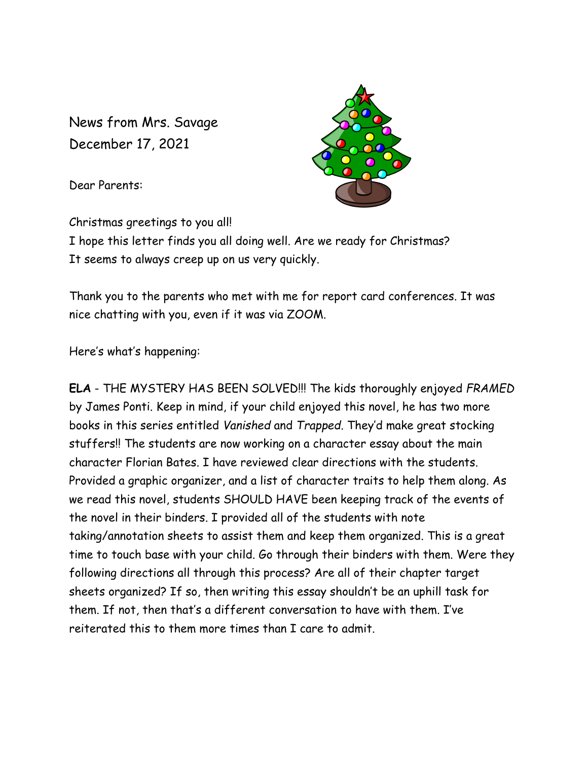News from Mrs. Savage December 17, 2021

Dear Parents:



Christmas greetings to you all!

I hope this letter finds you all doing well. Are we ready for Christmas? It seems to always creep up on us very quickly.

Thank you to the parents who met with me for report card conferences. It was nice chatting with you, even if it was via ZOOM.

Here's what's happening:

**ELA** - THE MYSTERY HAS BEEN SOLVED!!! The kids thoroughly enjoyed *FRAMED* by James Ponti. Keep in mind, if your child enjoyed this novel, he has two more books in this series entitled *Vanished* and *Trapped*. They'd make great stocking stuffers!! The students are now working on a character essay about the main character Florian Bates. I have reviewed clear directions with the students. Provided a graphic organizer, and a list of character traits to help them along. As we read this novel, students SHOULD HAVE been keeping track of the events of the novel in their binders. I provided all of the students with note taking/annotation sheets to assist them and keep them organized. This is a great time to touch base with your child. Go through their binders with them. Were they following directions all through this process? Are all of their chapter target sheets organized? If so, then writing this essay shouldn't be an uphill task for them. If not, then that's a different conversation to have with them. I've reiterated this to them more times than I care to admit.